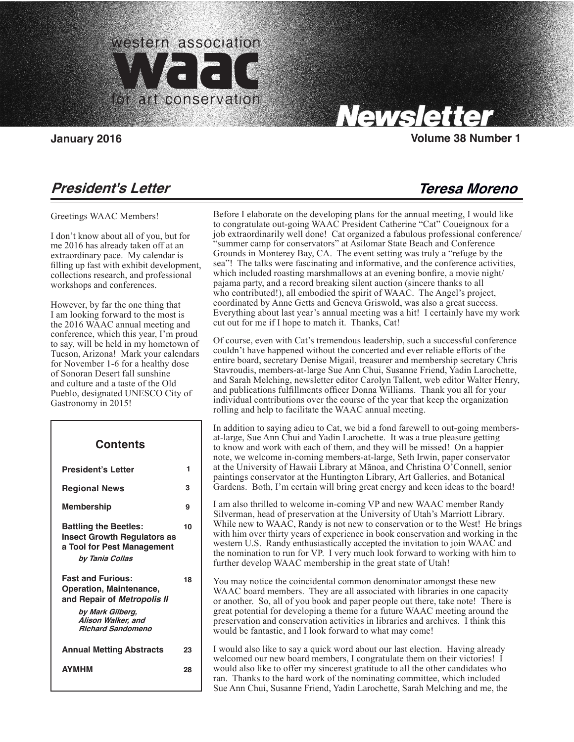

Carolyn Tallent, Editor

# Newsletter

**January 2016 Volume 38 Number 1**

**Teresa Moreno**

# **President's Letter**

Greetings WAAC Members!

I don't know about all of you, but for me 2016 has already taken off at an extraordinary pace. My calendar is filling up fast with exhibit development, collections research, and professional workshops and conferences.

However, by far the one thing that I am looking forward to the most is the 2016 WAAC annual meeting and conference, which this year, I'm proud to say, will be held in my hometown of Tucson, Arizona! Mark your calendars for November 1-6 for a healthy dose of Sonoran Desert fall sunshine and culture and a taste of the Old Pueblo, designated UNESCO City of Gastronomy in 2015!

 $\overline{\phantom{a}}$ 

## **President's Letter Regional News Membership Battling the Beetles: Insect Growth Regulators as a Tool for Pest Management by Tania Collas Fast and Furious: Operation, Maintenance, and Repair of Metropolis II by Mark Gilberg, Alison Walker, and Richard Sandomeno Annual Metting Abstracts AYMHM Contents 1 3 9 10 18 23 28**

Before I elaborate on the developing plans for the annual meeting, I would like to congratulate out-going WAAC President Catherine "Cat" Coueignoux for a job extraordinarily well done! Cat organized a fabulous professional conference/ "summer camp for conservators" at Asilomar State Beach and Conference Grounds in Monterey Bay, CA. The event setting was truly a "refuge by the sea"! The talks were fascinating and informative, and the conference activities, which included roasting marshmallows at an evening bonfire, a movie night/ pajama party, and a record breaking silent auction (sincere thanks to all who contributed!), all embodied the spirit of WAAC. The Angel's project, coordinated by Anne Getts and Geneva Griswold, was also a great success. Everything about last year's annual meeting was a hit! I certainly have my work cut out for me if I hope to match it. Thanks, Cat!

Of course, even with Cat's tremendous leadership, such a successful conference couldn't have happened without the concerted and ever reliable efforts of the entire board, secretary Denise Migail, treasurer and membership secretary Chris Stavroudis, members-at-large Sue Ann Chui, Susanne Friend, Yadin Larochette, and Sarah Melching, newsletter editor Carolyn Tallent, web editor Walter Henry, and publications fulfillments officer Donna Williams. Thank you all for your individual contributions over the course of the year that keep the organization rolling and help to facilitate the WAAC annual meeting.

In addition to saying adieu to Cat, we bid a fond farewell to out-going membersat-large, Sue Ann Chui and Yadin Larochette. It was a true pleasure getting to know and work with each of them, and they will be missed! On a happier note, we welcome in-coming members-at-large, Seth Irwin, paper conservator at the University of Hawaii Library at Mānoa, and Christina O'Connell, senior paintings conservator at the Huntington Library, Art Galleries, and Botanical Gardens. Both, I'm certain will bring great energy and keen ideas to the board!

I am also thrilled to welcome in-coming VP and new WAAC member Randy Silverman, head of preservation at the University of Utah's Marriott Library. While new to WAAC, Randy is not new to conservation or to the West! He brings with him over thirty years of experience in book conservation and working in the western U.S. Randy enthusiastically accepted the invitation to join WAAC and the nomination to run for VP. I very much look forward to working with him to further develop WAAC membership in the great state of Utah!

You may notice the coincidental common denominator amongst these new WAAC board members. They are all associated with libraries in one capacity or another. So, all of you book and paper people out there, take note! There is great potential for developing a theme for a future WAAC meeting around the preservation and conservation activities in libraries and archives. I think this would be fantastic, and I look forward to what may come!

I would also like to say a quick word about our last election. Having already welcomed our new board members, I congratulate them on their victories! I would also like to offer my sincerest gratitude to all the other candidates who ran. Thanks to the hard work of the nominating committee, which included Sue Ann Chui, Susanne Friend, Yadin Larochette, Sarah Melching and me, the